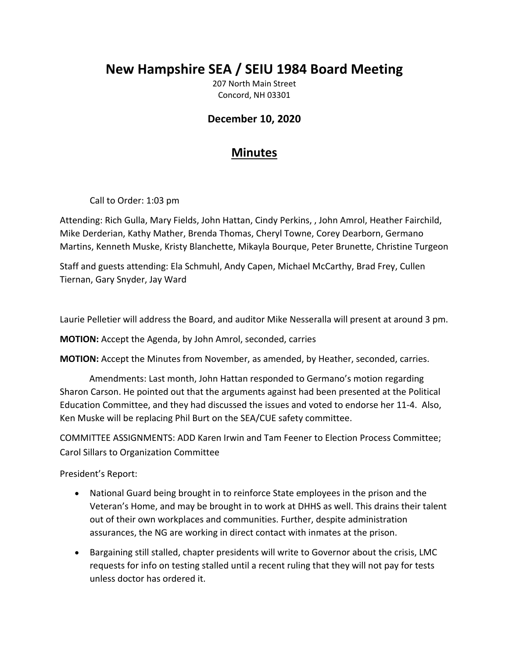## **New Hampshire SEA / SEIU 1984 Board Meeting**

207 North Main Street Concord, NH 03301

## **December 10, 2020**

## **Minutes**

Call to Order: 1:03 pm

Attending: Rich Gulla, Mary Fields, John Hattan, Cindy Perkins, , John Amrol, Heather Fairchild, Mike Derderian, Kathy Mather, Brenda Thomas, Cheryl Towne, Corey Dearborn, Germano Martins, Kenneth Muske, Kristy Blanchette, Mikayla Bourque, Peter Brunette, Christine Turgeon

Staff and guests attending: Ela Schmuhl, Andy Capen, Michael McCarthy, Brad Frey, Cullen Tiernan, Gary Snyder, Jay Ward

Laurie Pelletier will address the Board, and auditor Mike Nesseralla will present at around 3 pm.

**MOTION:** Accept the Agenda, by John Amrol, seconded, carries

**MOTION:** Accept the Minutes from November, as amended, by Heather, seconded, carries.

Amendments: Last month, John Hattan responded to Germano's motion regarding Sharon Carson. He pointed out that the arguments against had been presented at the Political Education Committee, and they had discussed the issues and voted to endorse her 11‐4. Also, Ken Muske will be replacing Phil Burt on the SEA/CUE safety committee.

COMMITTEE ASSIGNMENTS: ADD Karen Irwin and Tam Feener to Election Process Committee; Carol Sillars to Organization Committee

President's Report:

- National Guard being brought in to reinforce State employees in the prison and the Veteran's Home, and may be brought in to work at DHHS as well. This drains their talent out of their own workplaces and communities. Further, despite administration assurances, the NG are working in direct contact with inmates at the prison.
- Bargaining still stalled, chapter presidents will write to Governor about the crisis, LMC requests for info on testing stalled until a recent ruling that they will not pay for tests unless doctor has ordered it.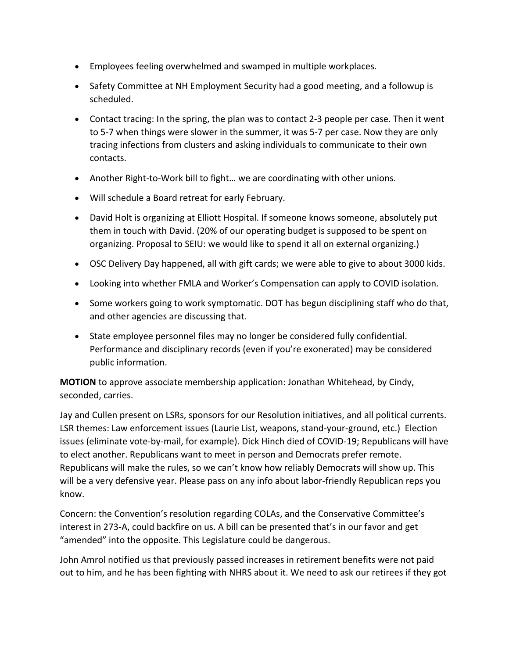- Employees feeling overwhelmed and swamped in multiple workplaces.
- Safety Committee at NH Employment Security had a good meeting, and a followup is scheduled.
- Contact tracing: In the spring, the plan was to contact 2‐3 people per case. Then it went to 5‐7 when things were slower in the summer, it was 5‐7 per case. Now they are only tracing infections from clusters and asking individuals to communicate to their own contacts.
- Another Right-to-Work bill to fight... we are coordinating with other unions.
- Will schedule a Board retreat for early February.
- David Holt is organizing at Elliott Hospital. If someone knows someone, absolutely put them in touch with David. (20% of our operating budget is supposed to be spent on organizing. Proposal to SEIU: we would like to spend it all on external organizing.)
- OSC Delivery Day happened, all with gift cards; we were able to give to about 3000 kids.
- Looking into whether FMLA and Worker's Compensation can apply to COVID isolation.
- Some workers going to work symptomatic. DOT has begun disciplining staff who do that, and other agencies are discussing that.
- State employee personnel files may no longer be considered fully confidential. Performance and disciplinary records (even if you're exonerated) may be considered public information.

**MOTION** to approve associate membership application: Jonathan Whitehead, by Cindy, seconded, carries.

Jay and Cullen present on LSRs, sponsors for our Resolution initiatives, and all political currents. LSR themes: Law enforcement issues (Laurie List, weapons, stand‐your‐ground, etc.) Election issues (eliminate vote‐by‐mail, for example). Dick Hinch died of COVID‐19; Republicans will have to elect another. Republicans want to meet in person and Democrats prefer remote. Republicans will make the rules, so we can't know how reliably Democrats will show up. This will be a very defensive year. Please pass on any info about labor-friendly Republican reps you know.

Concern: the Convention's resolution regarding COLAs, and the Conservative Committee's interest in 273‐A, could backfire on us. A bill can be presented that's in our favor and get "amended" into the opposite. This Legislature could be dangerous.

John Amrol notified us that previously passed increases in retirement benefits were not paid out to him, and he has been fighting with NHRS about it. We need to ask our retirees if they got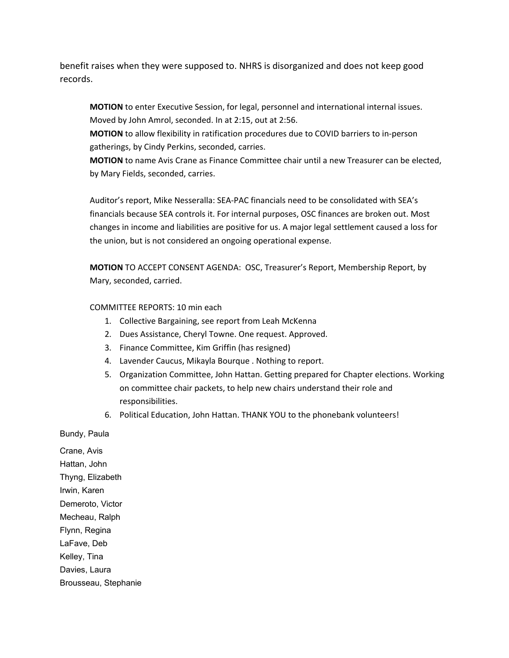benefit raises when they were supposed to. NHRS is disorganized and does not keep good records.

**MOTION** to enter Executive Session, for legal, personnel and international internal issues. Moved by John Amrol, seconded. In at 2:15, out at 2:56.

**MOTION** to allow flexibility in ratification procedures due to COVID barriers to in‐person gatherings, by Cindy Perkins, seconded, carries.

**MOTION** to name Avis Crane as Finance Committee chair until a new Treasurer can be elected, by Mary Fields, seconded, carries.

Auditor's report, Mike Nesseralla: SEA‐PAC financials need to be consolidated with SEA's financials because SEA controls it. For internal purposes, OSC finances are broken out. Most changes in income and liabilities are positive for us. A major legal settlement caused a loss for the union, but is not considered an ongoing operational expense.

**MOTION** TO ACCEPT CONSENT AGENDA: OSC, Treasurer's Report, Membership Report, by Mary, seconded, carried.

## COMMITTEE REPORTS: 10 min each

- 1. Collective Bargaining, see report from Leah McKenna
- 2. Dues Assistance, Cheryl Towne. One request. Approved.
- 3. Finance Committee, Kim Griffin (has resigned)
- 4. Lavender Caucus, Mikayla Bourque . Nothing to report.
- 5. Organization Committee, John Hattan. Getting prepared for Chapter elections. Working on committee chair packets, to help new chairs understand their role and responsibilities.
- 6. Political Education, John Hattan. THANK YOU to the phonebank volunteers!

Bundy, Paula

Crane, Avis Hattan, John Thyng, Elizabeth Irwin, Karen Demeroto, Victor Mecheau, Ralph Flynn, Regina LaFave, Deb Kelley, Tina Davies, Laura Brousseau, Stephanie